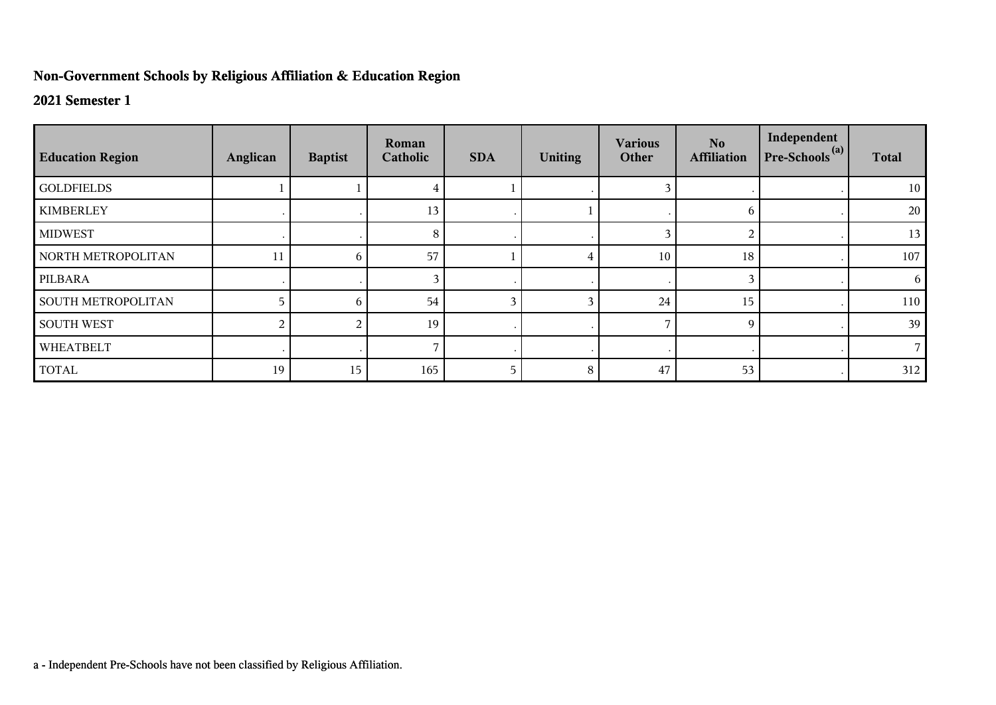## **Non-Government Schools by Religious Affiliation & Education Region**

## **2021 Semester 1**

| <b>Education Region</b>   | Anglican | <b>Baptist</b> | Roman<br>Catholic | <b>SDA</b> | <b>Uniting</b> | <b>Various</b><br>Other | No.<br><b>Affiliation</b> | Independent<br>Pre-Schools <sup>(a)</sup> | <b>Total</b> |
|---------------------------|----------|----------------|-------------------|------------|----------------|-------------------------|---------------------------|-------------------------------------------|--------------|
| <b>GOLDFIELDS</b>         |          |                |                   |            |                |                         |                           |                                           | 10           |
| <b>KIMBERLEY</b>          |          |                | 13                |            |                |                         | 6                         |                                           | 20           |
| <b>MIDWEST</b>            |          |                | 8                 |            |                | 3                       | 2                         |                                           | 13           |
| NORTH METROPOLITAN        | 11       | 6              | 57                |            |                | 10                      | 18                        |                                           | 107          |
| PILBARA                   |          |                |                   |            |                |                         | 3                         |                                           | 6            |
| <b>SOUTH METROPOLITAN</b> |          | 6              | 54                |            |                | 24                      | 15                        |                                           | 110          |
| <b>SOUTH WEST</b>         |          |                | 19                |            |                |                         | 9                         |                                           | 39           |
| WHEATBELT                 |          |                |                   |            |                |                         |                           |                                           |              |
| <b>TOTAL</b>              | 19       | 15             | 165               | 5          | 8              | 47                      | 53                        |                                           | 312          |